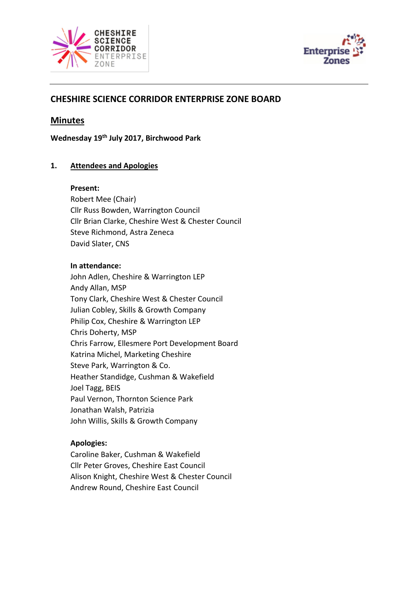



# **CHESHIRE SCIENCE CORRIDOR ENTERPRISE ZONE BOARD**

# **Minutes**

**Wednesday 19th July 2017, Birchwood Park**

## **1. Attendees and Apologies**

#### **Present:**

Robert Mee (Chair) Cllr Russ Bowden, Warrington Council Cllr Brian Clarke, Cheshire West & Chester Council Steve Richmond, Astra Zeneca David Slater, CNS

#### **In attendance:**

John Adlen, Cheshire & Warrington LEP Andy Allan, MSP Tony Clark, Cheshire West & Chester Council Julian Cobley, Skills & Growth Company Philip Cox, Cheshire & Warrington LEP Chris Doherty, MSP Chris Farrow, Ellesmere Port Development Board Katrina Michel, Marketing Cheshire Steve Park, Warrington & Co. Heather Standidge, Cushman & Wakefield Joel Tagg, BEIS Paul Vernon, Thornton Science Park Jonathan Walsh, Patrizia John Willis, Skills & Growth Company

## **Apologies:**

Caroline Baker, Cushman & Wakefield Cllr Peter Groves, Cheshire East Council Alison Knight, Cheshire West & Chester Council Andrew Round, Cheshire East Council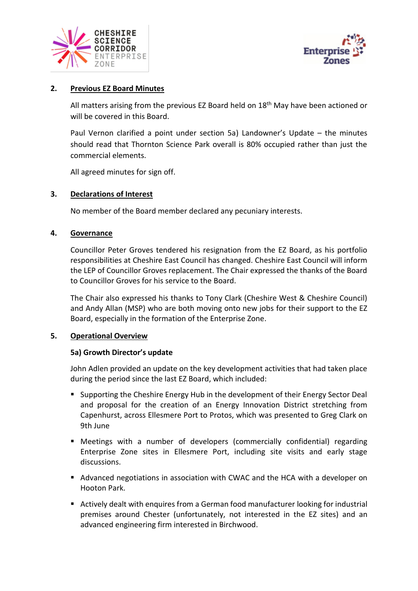



## **2. Previous EZ Board Minutes**

All matters arising from the previous EZ Board held on 18<sup>th</sup> May have been actioned or will be covered in this Board.

Paul Vernon clarified a point under section 5a) Landowner's Update – the minutes should read that Thornton Science Park overall is 80% occupied rather than just the commercial elements.

All agreed minutes for sign off.

## **3. Declarations of Interest**

No member of the Board member declared any pecuniary interests.

## **4. Governance**

Councillor Peter Groves tendered his resignation from the EZ Board, as his portfolio responsibilities at Cheshire East Council has changed. Cheshire East Council will inform the LEP of Councillor Groves replacement. The Chair expressed the thanks of the Board to Councillor Groves for his service to the Board.

The Chair also expressed his thanks to Tony Clark (Cheshire West & Cheshire Council) and Andy Allan (MSP) who are both moving onto new jobs for their support to the EZ Board, especially in the formation of the Enterprise Zone.

## **5. Operational Overview**

## **5a) Growth Director's update**

John Adlen provided an update on the key development activities that had taken place during the period since the last EZ Board, which included:

- Supporting the Cheshire Energy Hub in the development of their Energy Sector Deal and proposal for the creation of an Energy Innovation District stretching from Capenhurst, across Ellesmere Port to Protos, which was presented to Greg Clark on 9th June
- Meetings with a number of developers (commercially confidential) regarding Enterprise Zone sites in Ellesmere Port, including site visits and early stage discussions.
- Advanced negotiations in association with CWAC and the HCA with a developer on Hooton Park.
- Actively dealt with enquires from a German food manufacturer looking for industrial premises around Chester (unfortunately, not interested in the EZ sites) and an advanced engineering firm interested in Birchwood.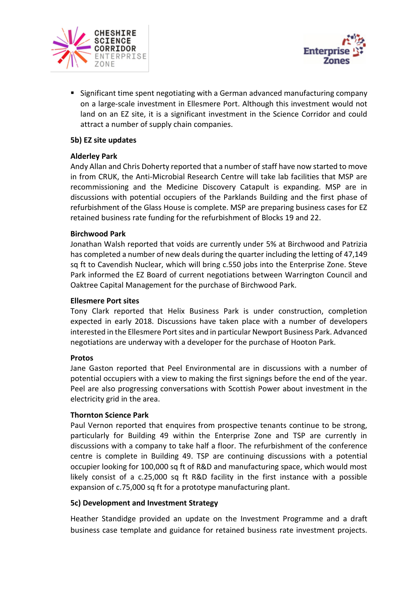



■ Significant time spent negotiating with a German advanced manufacturing company on a large-scale investment in Ellesmere Port. Although this investment would not land on an EZ site, it is a significant investment in the Science Corridor and could attract a number of supply chain companies.

## **5b) EZ site updates**

## **Alderley Park**

Andy Allan and Chris Doherty reported that a number of staff have now started to move in from CRUK, the Anti-Microbial Research Centre will take lab facilities that MSP are recommissioning and the Medicine Discovery Catapult is expanding. MSP are in discussions with potential occupiers of the Parklands Building and the first phase of refurbishment of the Glass House is complete. MSP are preparing business cases for EZ retained business rate funding for the refurbishment of Blocks 19 and 22.

## **Birchwood Park**

Jonathan Walsh reported that voids are currently under 5% at Birchwood and Patrizia has completed a number of new deals during the quarter including the letting of 47,149 sq ft to Cavendish Nuclear, which will bring c.550 jobs into the Enterprise Zone. Steve Park informed the EZ Board of current negotiations between Warrington Council and Oaktree Capital Management for the purchase of Birchwood Park.

## **Ellesmere Port sites**

Tony Clark reported that Helix Business Park is under construction, completion expected in early 2018. Discussions have taken place with a number of developers interested in the Ellesmere Port sites and in particular Newport Business Park. Advanced negotiations are underway with a developer for the purchase of Hooton Park.

## **Protos**

Jane Gaston reported that Peel Environmental are in discussions with a number of potential occupiers with a view to making the first signings before the end of the year. Peel are also progressing conversations with Scottish Power about investment in the electricity grid in the area.

## **Thornton Science Park**

Paul Vernon reported that enquires from prospective tenants continue to be strong, particularly for Building 49 within the Enterprise Zone and TSP are currently in discussions with a company to take half a floor. The refurbishment of the conference centre is complete in Building 49. TSP are continuing discussions with a potential occupier looking for 100,000 sq ft of R&D and manufacturing space, which would most likely consist of a c.25,000 sq ft R&D facility in the first instance with a possible expansion of c.75,000 sq ft for a prototype manufacturing plant.

## **5c) Development and Investment Strategy**

Heather Standidge provided an update on the Investment Programme and a draft business case template and guidance for retained business rate investment projects.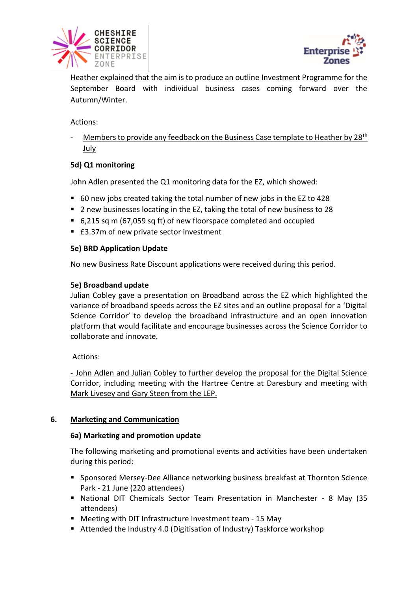



Heather explained that the aim is to produce an outline Investment Programme for the September Board with individual business cases coming forward over the Autumn/Winter.

Actions:

Members to provide any feedback on the Business Case template to Heather by 28<sup>th</sup> July

# **5d) Q1 monitoring**

John Adlen presented the Q1 monitoring data for the EZ, which showed:

- 60 new jobs created taking the total number of new jobs in the EZ to 428
- 2 new businesses locating in the EZ, taking the total of new business to 28
- 6,215 sq m (67,059 sq ft) of new floorspace completed and occupied
- £3.37m of new private sector investment

## **5e) BRD Application Update**

No new Business Rate Discount applications were received during this period.

## **5e) Broadband update**

Julian Cobley gave a presentation on Broadband across the EZ which highlighted the variance of broadband speeds across the EZ sites and an outline proposal for a 'Digital Science Corridor' to develop the broadband infrastructure and an open innovation platform that would facilitate and encourage businesses across the Science Corridor to collaborate and innovate.

Actions:

- John Adlen and Julian Cobley to further develop the proposal for the Digital Science Corridor, including meeting with the Hartree Centre at Daresbury and meeting with Mark Livesey and Gary Steen from the LEP.

# **6. Marketing and Communication**

## **6a) Marketing and promotion update**

The following marketing and promotional events and activities have been undertaken during this period:

- Sponsored Mersey-Dee Alliance networking business breakfast at Thornton Science Park - 21 June (220 attendees)
- National DIT Chemicals Sector Team Presentation in Manchester 8 May (35 attendees)
- Meeting with DIT Infrastructure Investment team 15 May
- Attended the Industry 4.0 (Digitisation of Industry) Taskforce workshop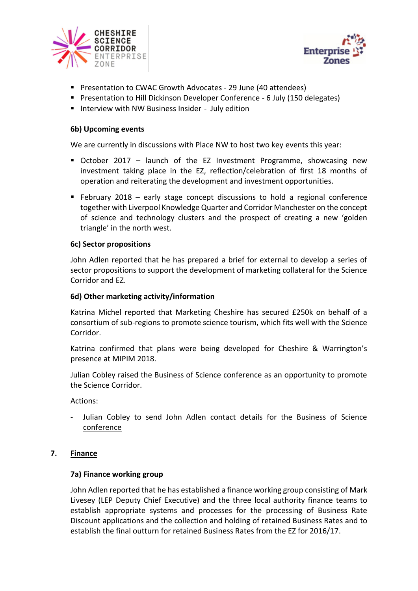



- Presentation to CWAC Growth Advocates 29 June (40 attendees)
- Presentation to Hill Dickinson Developer Conference 6 July (150 delegates)
- Interview with NW Business Insider July edition

#### **6b) Upcoming events**

We are currently in discussions with Place NW to host two key events this year:

- October 2017 launch of the EZ Investment Programme, showcasing new investment taking place in the EZ, reflection/celebration of first 18 months of operation and reiterating the development and investment opportunities.
- $\blacksquare$  February 2018 early stage concept discussions to hold a regional conference together with Liverpool Knowledge Quarter and Corridor Manchester on the concept of science and technology clusters and the prospect of creating a new 'golden triangle' in the north west.

#### **6c) Sector propositions**

John Adlen reported that he has prepared a brief for external to develop a series of sector propositions to support the development of marketing collateral for the Science Corridor and EZ.

#### **6d) Other marketing activity/information**

Katrina Michel reported that Marketing Cheshire has secured £250k on behalf of a consortium of sub-regions to promote science tourism, which fits well with the Science Corridor.

Katrina confirmed that plans were being developed for Cheshire & Warrington's presence at MIPIM 2018.

Julian Cobley raised the Business of Science conference as an opportunity to promote the Science Corridor.

Actions:

Julian Cobley to send John Adlen contact details for the Business of Science conference

## **7. Finance**

## **7a) Finance working group**

John Adlen reported that he has established a finance working group consisting of Mark Livesey (LEP Deputy Chief Executive) and the three local authority finance teams to establish appropriate systems and processes for the processing of Business Rate Discount applications and the collection and holding of retained Business Rates and to establish the final outturn for retained Business Rates from the EZ for 2016/17.